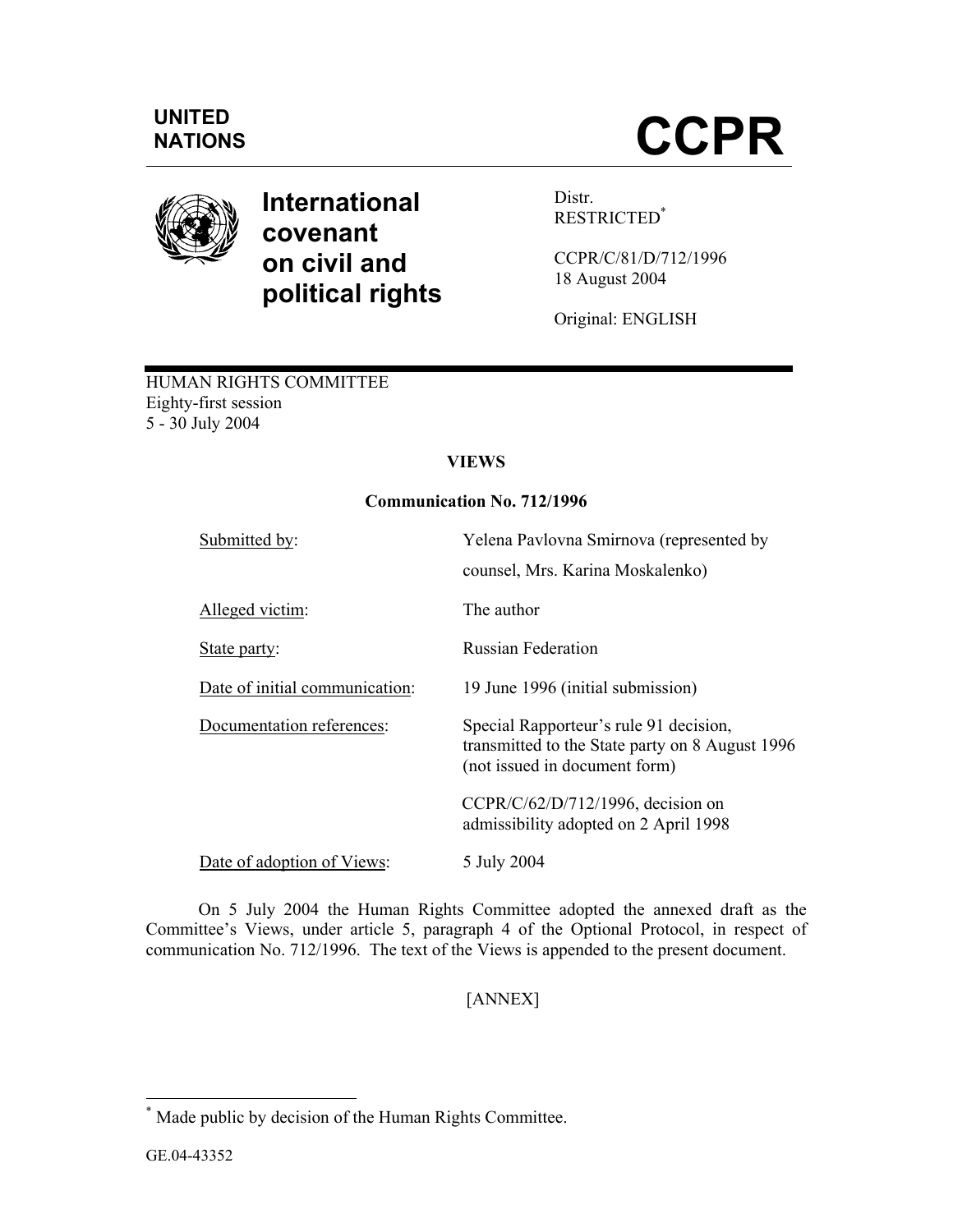

# **International covenant on civil and political rights**

Distr. RESTRICTED\*

CCPR/C/81/D/712/1996 18 August 2004

Original: ENGLISH

# HUMAN RIGHTS COMMITTEE Eighty-first session 5 - 30 July 2004

# **VIEWS**

# **Communication No. 712/1996**

| Submitted by:                  | Yelena Pavlovna Smirnova (represented by<br>counsel, Mrs. Karina Moskalenko)                                               |
|--------------------------------|----------------------------------------------------------------------------------------------------------------------------|
| Alleged victim:                | The author                                                                                                                 |
| State party:                   | <b>Russian Federation</b>                                                                                                  |
| Date of initial communication: | 19 June 1996 (initial submission)                                                                                          |
| Documentation references:      | Special Rapporteur's rule 91 decision,<br>transmitted to the State party on 8 August 1996<br>(not issued in document form) |
|                                | $CCPR/C/62/D/712/1996$ , decision on<br>admissibility adopted on 2 April 1998                                              |
| Date of adoption of Views:     | 5 July 2004                                                                                                                |

 On 5 July 2004 the Human Rights Committee adopted the annexed draft as the Committee's Views, under article 5, paragraph 4 of the Optional Protocol, in respect of communication No. 712/1996. The text of the Views is appended to the present document.

[ANNEX]

 \* Made public by decision of the Human Rights Committee.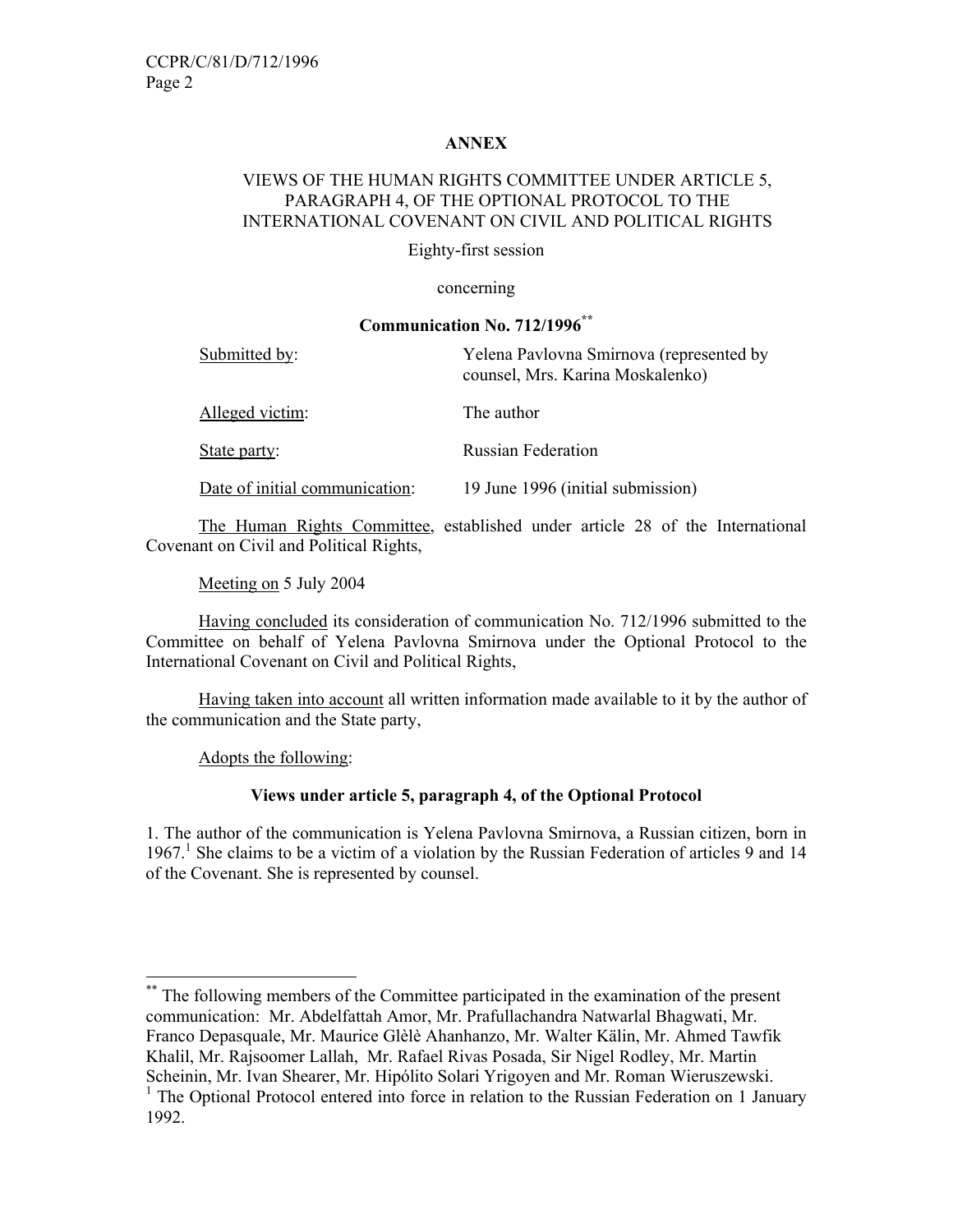# **ANNEX**

# VIEWS OF THE HUMAN RIGHTS COMMITTEE UNDER ARTICLE 5, PARAGRAPH 4, OF THE OPTIONAL PROTOCOL TO THE INTERNATIONAL COVENANT ON CIVIL AND POLITICAL RIGHTS

Eighty-first session

#### concerning

#### **Communication No. 712/1996\*\***

| Submitted by:                  | Yelena Pavlovna Smirnova (represented by<br>counsel, Mrs. Karina Moskalenko) |
|--------------------------------|------------------------------------------------------------------------------|
| Alleged victim:                | The author                                                                   |
| State party:                   | <b>Russian Federation</b>                                                    |
| Date of initial communication: | 19 June 1996 (initial submission)                                            |

 The Human Rights Committee, established under article 28 of the International Covenant on Civil and Political Rights,

Meeting on 5 July 2004

 Having concluded its consideration of communication No. 712/1996 submitted to the Committee on behalf of Yelena Pavlovna Smirnova under the Optional Protocol to the International Covenant on Civil and Political Rights,

 Having taken into account all written information made available to it by the author of the communication and the State party,

Adopts the following:

-

# **Views under article 5, paragraph 4, of the Optional Protocol**

1. The author of the communication is Yelena Pavlovna Smirnova, a Russian citizen, born in 1967.<sup>1</sup> She claims to be a victim of a violation by the Russian Federation of articles 9 and 14 of the Covenant. She is represented by counsel.

<sup>\*\*</sup> The following members of the Committee participated in the examination of the present communication: Mr. Abdelfattah Amor, Mr. Prafullachandra Natwarlal Bhagwati, Mr. Franco Depasquale, Mr. Maurice Glèlè Ahanhanzo, Mr. Walter Kälin, Mr. Ahmed Tawfik Khalil, Mr. Rajsoomer Lallah, Mr. Rafael Rivas Posada, Sir Nigel Rodley, Mr. Martin Scheinin, Mr. Ivan Shearer, Mr. Hipólito Solari Yrigoyen and Mr. Roman Wieruszewski.

<sup>&</sup>lt;sup>1</sup> The Optional Protocol entered into force in relation to the Russian Federation on 1 January 1992.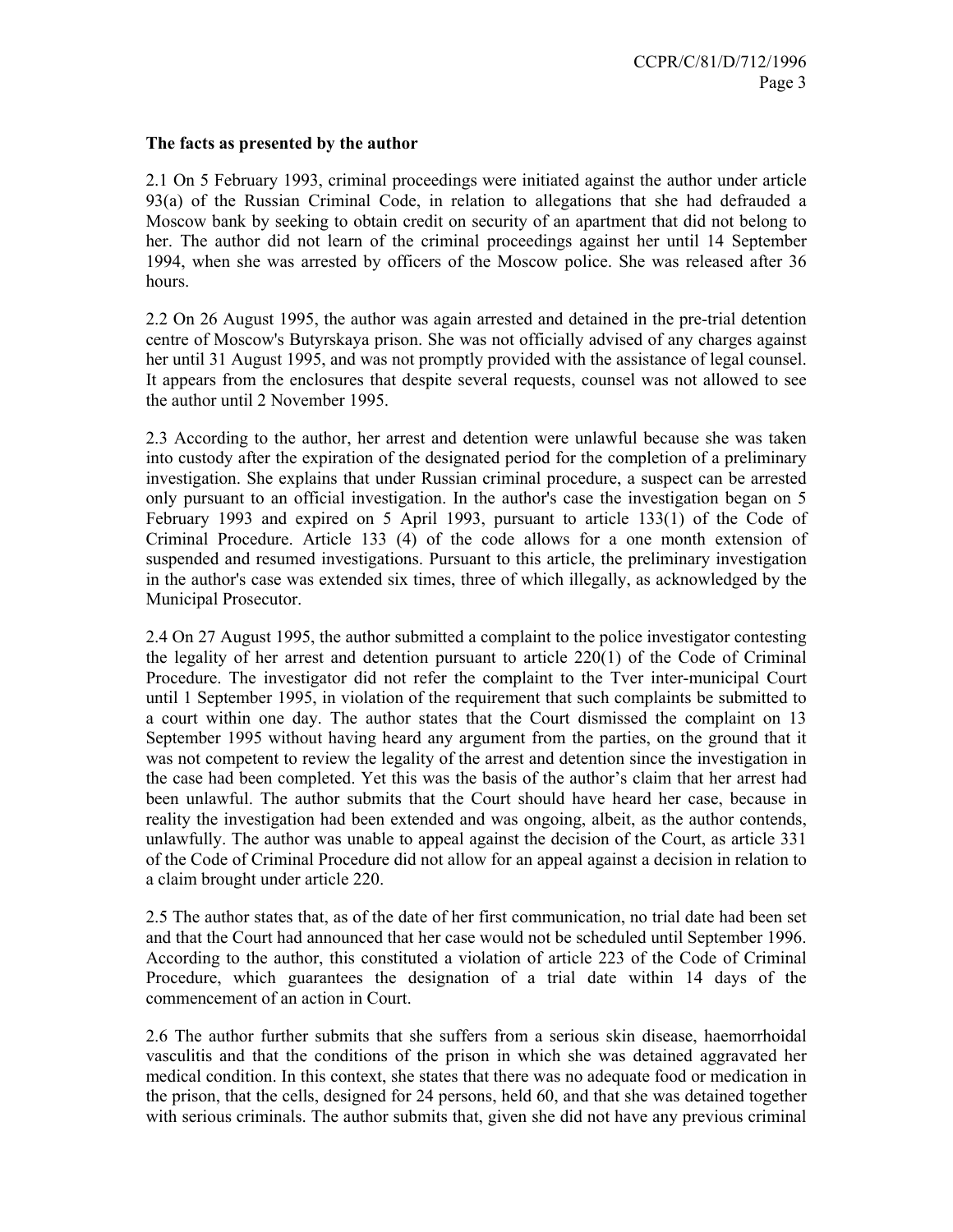#### **The facts as presented by the author**

2.1 On 5 February 1993, criminal proceedings were initiated against the author under article 93(a) of the Russian Criminal Code, in relation to allegations that she had defrauded a Moscow bank by seeking to obtain credit on security of an apartment that did not belong to her. The author did not learn of the criminal proceedings against her until 14 September 1994, when she was arrested by officers of the Moscow police. She was released after 36 hours.

2.2 On 26 August 1995, the author was again arrested and detained in the pre-trial detention centre of Moscow's Butyrskaya prison. She was not officially advised of any charges against her until 31 August 1995, and was not promptly provided with the assistance of legal counsel. It appears from the enclosures that despite several requests, counsel was not allowed to see the author until 2 November 1995.

2.3 According to the author, her arrest and detention were unlawful because she was taken into custody after the expiration of the designated period for the completion of a preliminary investigation. She explains that under Russian criminal procedure, a suspect can be arrested only pursuant to an official investigation. In the author's case the investigation began on 5 February 1993 and expired on 5 April 1993, pursuant to article 133(1) of the Code of Criminal Procedure. Article 133 (4) of the code allows for a one month extension of suspended and resumed investigations. Pursuant to this article, the preliminary investigation in the author's case was extended six times, three of which illegally, as acknowledged by the Municipal Prosecutor.

2.4 On 27 August 1995, the author submitted a complaint to the police investigator contesting the legality of her arrest and detention pursuant to article 220(1) of the Code of Criminal Procedure. The investigator did not refer the complaint to the Tver inter-municipal Court until 1 September 1995, in violation of the requirement that such complaints be submitted to a court within one day. The author states that the Court dismissed the complaint on 13 September 1995 without having heard any argument from the parties, on the ground that it was not competent to review the legality of the arrest and detention since the investigation in the case had been completed. Yet this was the basis of the author's claim that her arrest had been unlawful. The author submits that the Court should have heard her case, because in reality the investigation had been extended and was ongoing, albeit, as the author contends, unlawfully. The author was unable to appeal against the decision of the Court, as article 331 of the Code of Criminal Procedure did not allow for an appeal against a decision in relation to a claim brought under article 220.

2.5 The author states that, as of the date of her first communication, no trial date had been set and that the Court had announced that her case would not be scheduled until September 1996. According to the author, this constituted a violation of article 223 of the Code of Criminal Procedure, which guarantees the designation of a trial date within 14 days of the commencement of an action in Court.

2.6 The author further submits that she suffers from a serious skin disease, haemorrhoidal vasculitis and that the conditions of the prison in which she was detained aggravated her medical condition. In this context, she states that there was no adequate food or medication in the prison, that the cells, designed for 24 persons, held 60, and that she was detained together with serious criminals. The author submits that, given she did not have any previous criminal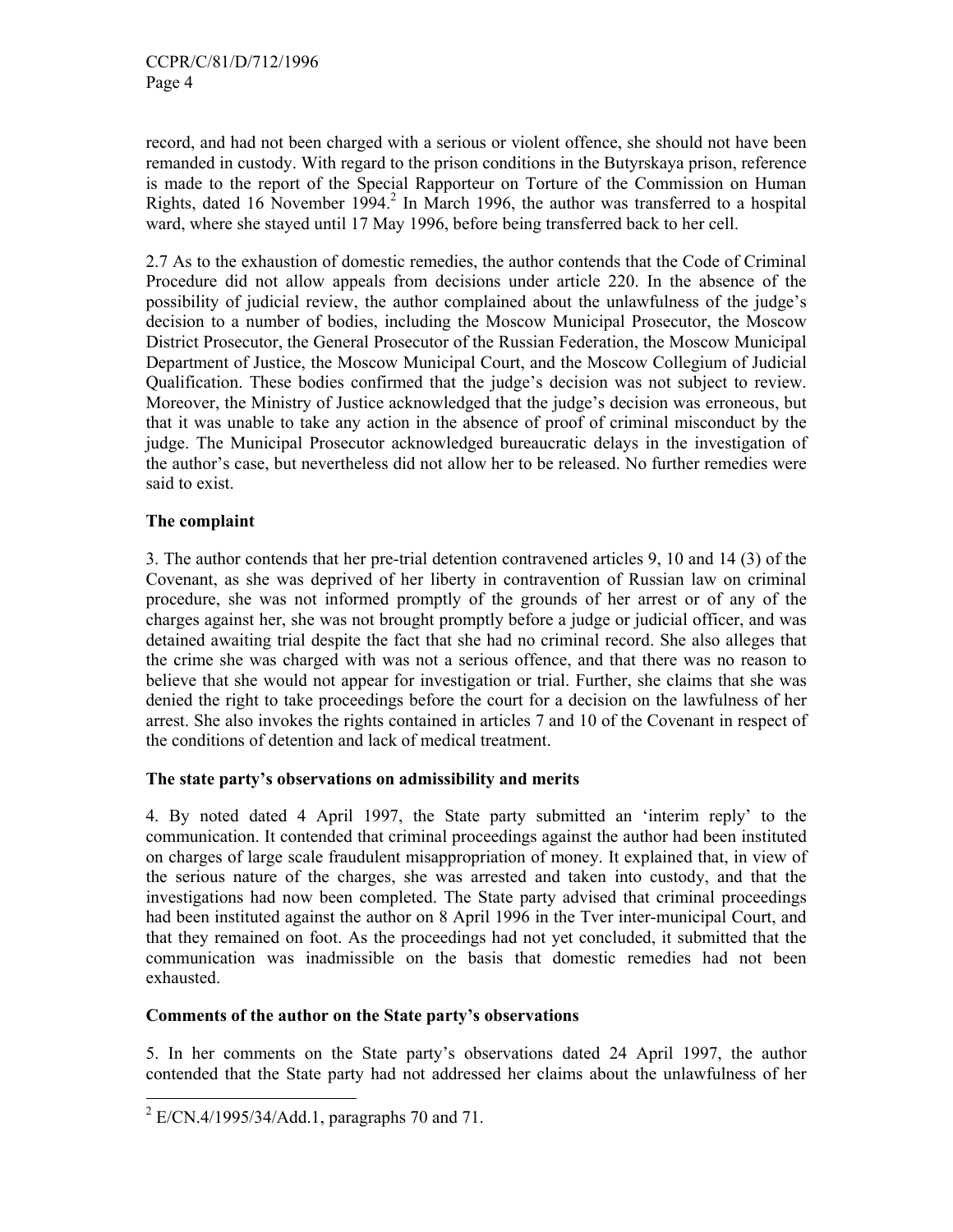record, and had not been charged with a serious or violent offence, she should not have been remanded in custody. With regard to the prison conditions in the Butyrskaya prison, reference is made to the report of the Special Rapporteur on Torture of the Commission on Human Rights, dated 16 November 1994.<sup>2</sup> In March 1996, the author was transferred to a hospital ward, where she stayed until 17 May 1996, before being transferred back to her cell.

2.7 As to the exhaustion of domestic remedies, the author contends that the Code of Criminal Procedure did not allow appeals from decisions under article 220. In the absence of the possibility of judicial review, the author complained about the unlawfulness of the judge's decision to a number of bodies, including the Moscow Municipal Prosecutor, the Moscow District Prosecutor, the General Prosecutor of the Russian Federation, the Moscow Municipal Department of Justice, the Moscow Municipal Court, and the Moscow Collegium of Judicial Qualification. These bodies confirmed that the judge's decision was not subject to review. Moreover, the Ministry of Justice acknowledged that the judge's decision was erroneous, but that it was unable to take any action in the absence of proof of criminal misconduct by the judge. The Municipal Prosecutor acknowledged bureaucratic delays in the investigation of the author's case, but nevertheless did not allow her to be released. No further remedies were said to exist.

# **The complaint**

-

3. The author contends that her pre-trial detention contravened articles 9, 10 and 14 (3) of the Covenant, as she was deprived of her liberty in contravention of Russian law on criminal procedure, she was not informed promptly of the grounds of her arrest or of any of the charges against her, she was not brought promptly before a judge or judicial officer, and was detained awaiting trial despite the fact that she had no criminal record. She also alleges that the crime she was charged with was not a serious offence, and that there was no reason to believe that she would not appear for investigation or trial. Further, she claims that she was denied the right to take proceedings before the court for a decision on the lawfulness of her arrest. She also invokes the rights contained in articles 7 and 10 of the Covenant in respect of the conditions of detention and lack of medical treatment.

# **The state party's observations on admissibility and merits**

4. By noted dated 4 April 1997, the State party submitted an 'interim reply' to the communication. It contended that criminal proceedings against the author had been instituted on charges of large scale fraudulent misappropriation of money. It explained that, in view of the serious nature of the charges, she was arrested and taken into custody, and that the investigations had now been completed. The State party advised that criminal proceedings had been instituted against the author on 8 April 1996 in the Tver inter-municipal Court, and that they remained on foot. As the proceedings had not yet concluded, it submitted that the communication was inadmissible on the basis that domestic remedies had not been exhausted.

# **Comments of the author on the State party's observations**

5. In her comments on the State party's observations dated 24 April 1997, the author contended that the State party had not addressed her claims about the unlawfulness of her

 $^{2}$  E/CN.4/1995/34/Add.1, paragraphs 70 and 71.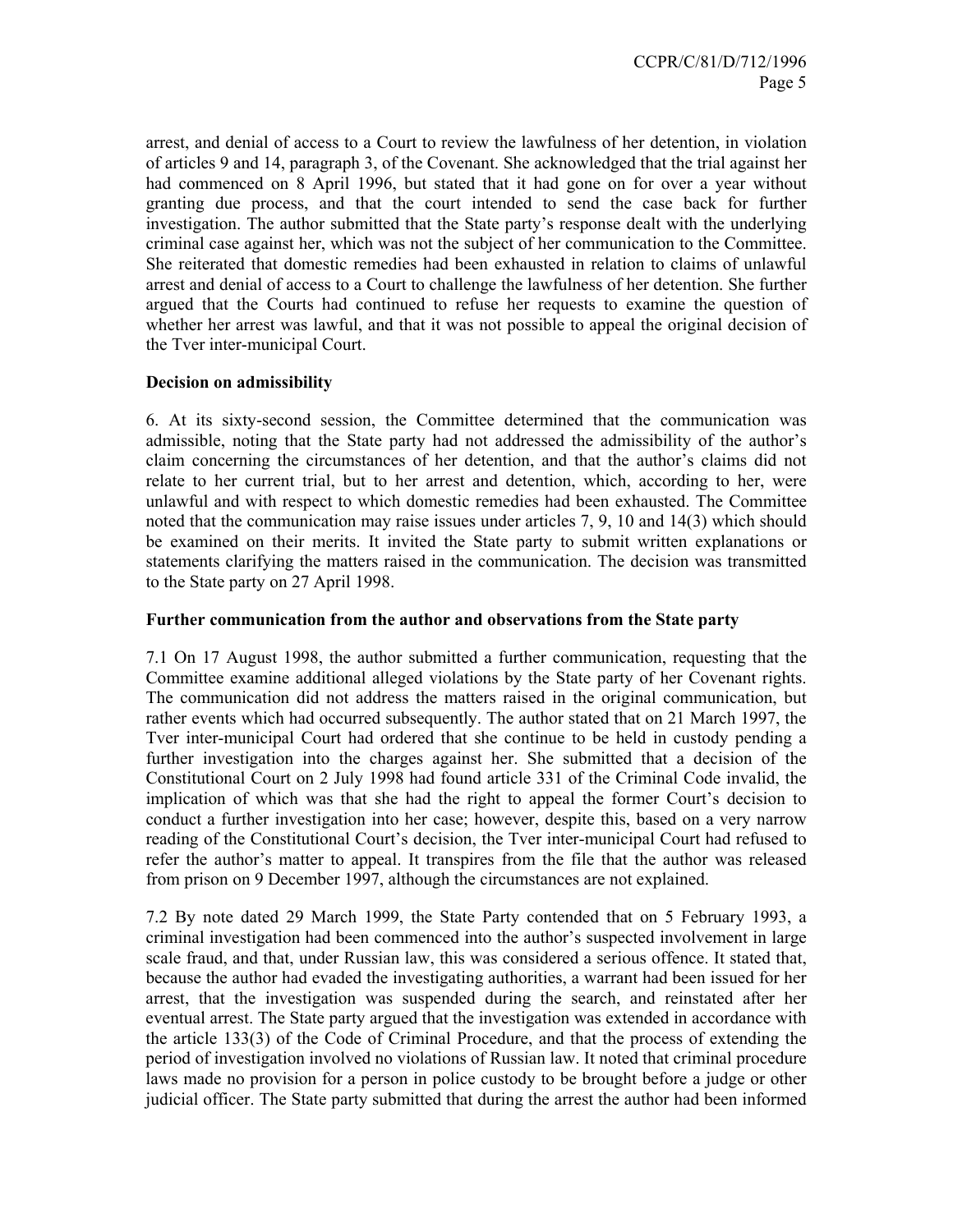arrest, and denial of access to a Court to review the lawfulness of her detention, in violation of articles 9 and 14, paragraph 3, of the Covenant. She acknowledged that the trial against her had commenced on 8 April 1996, but stated that it had gone on for over a year without granting due process, and that the court intended to send the case back for further investigation. The author submitted that the State party's response dealt with the underlying criminal case against her, which was not the subject of her communication to the Committee. She reiterated that domestic remedies had been exhausted in relation to claims of unlawful arrest and denial of access to a Court to challenge the lawfulness of her detention. She further argued that the Courts had continued to refuse her requests to examine the question of whether her arrest was lawful, and that it was not possible to appeal the original decision of the Tver inter-municipal Court.

# **Decision on admissibility**

6. At its sixty-second session, the Committee determined that the communication was admissible, noting that the State party had not addressed the admissibility of the author's claim concerning the circumstances of her detention, and that the author's claims did not relate to her current trial, but to her arrest and detention, which, according to her, were unlawful and with respect to which domestic remedies had been exhausted. The Committee noted that the communication may raise issues under articles 7, 9, 10 and 14(3) which should be examined on their merits. It invited the State party to submit written explanations or statements clarifying the matters raised in the communication. The decision was transmitted to the State party on 27 April 1998.

# **Further communication from the author and observations from the State party**

7.1 On 17 August 1998, the author submitted a further communication, requesting that the Committee examine additional alleged violations by the State party of her Covenant rights. The communication did not address the matters raised in the original communication, but rather events which had occurred subsequently. The author stated that on 21 March 1997, the Tver inter-municipal Court had ordered that she continue to be held in custody pending a further investigation into the charges against her. She submitted that a decision of the Constitutional Court on 2 July 1998 had found article 331 of the Criminal Code invalid, the implication of which was that she had the right to appeal the former Court's decision to conduct a further investigation into her case; however, despite this, based on a very narrow reading of the Constitutional Court's decision, the Tver inter-municipal Court had refused to refer the author's matter to appeal. It transpires from the file that the author was released from prison on 9 December 1997, although the circumstances are not explained.

7.2 By note dated 29 March 1999, the State Party contended that on 5 February 1993, a criminal investigation had been commenced into the author's suspected involvement in large scale fraud, and that, under Russian law, this was considered a serious offence. It stated that, because the author had evaded the investigating authorities, a warrant had been issued for her arrest, that the investigation was suspended during the search, and reinstated after her eventual arrest. The State party argued that the investigation was extended in accordance with the article 133(3) of the Code of Criminal Procedure, and that the process of extending the period of investigation involved no violations of Russian law. It noted that criminal procedure laws made no provision for a person in police custody to be brought before a judge or other judicial officer. The State party submitted that during the arrest the author had been informed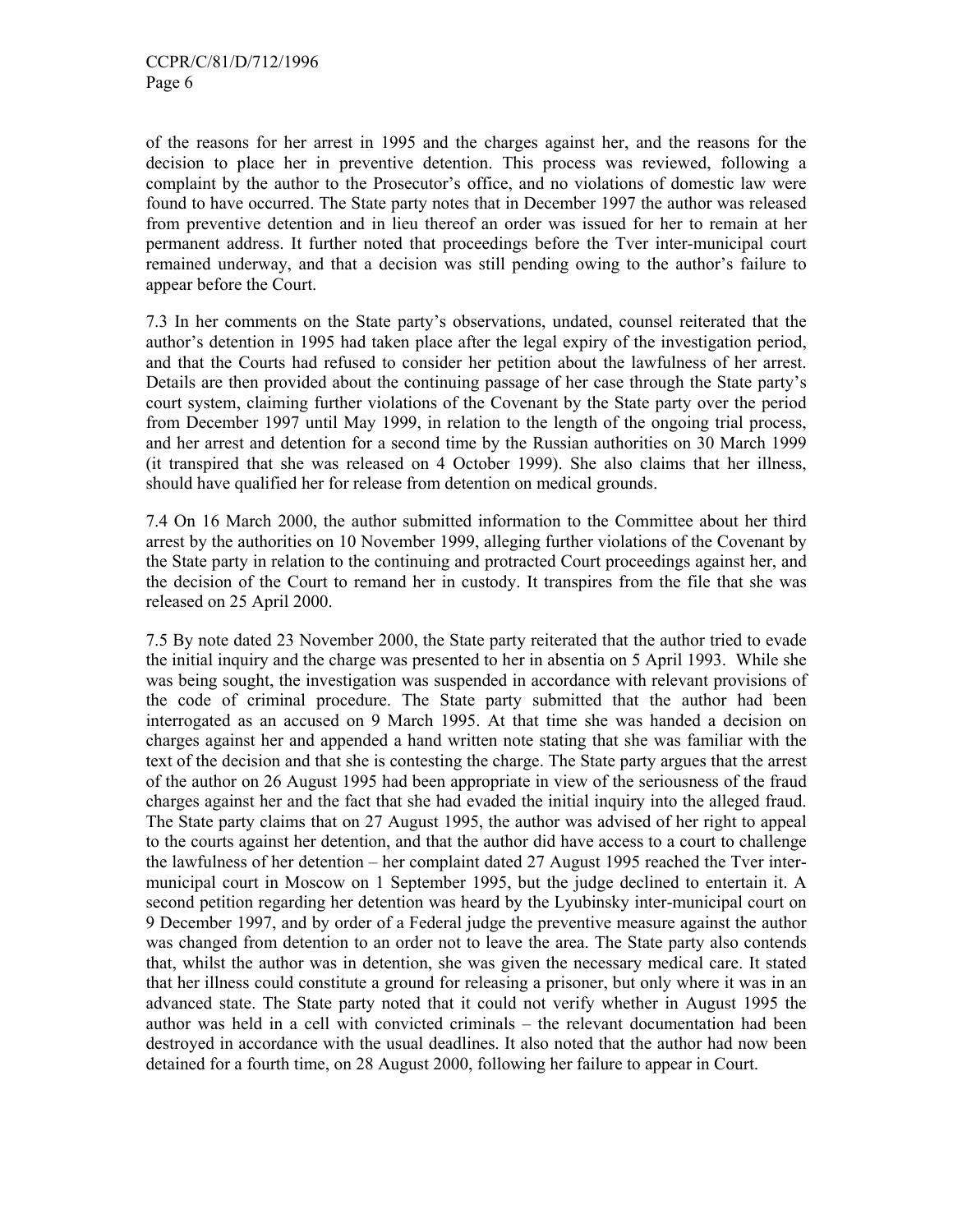of the reasons for her arrest in 1995 and the charges against her, and the reasons for the decision to place her in preventive detention. This process was reviewed, following a complaint by the author to the Prosecutor's office, and no violations of domestic law were found to have occurred. The State party notes that in December 1997 the author was released from preventive detention and in lieu thereof an order was issued for her to remain at her permanent address. It further noted that proceedings before the Tver inter-municipal court remained underway, and that a decision was still pending owing to the author's failure to appear before the Court.

7.3 In her comments on the State party's observations, undated, counsel reiterated that the author's detention in 1995 had taken place after the legal expiry of the investigation period, and that the Courts had refused to consider her petition about the lawfulness of her arrest. Details are then provided about the continuing passage of her case through the State party's court system, claiming further violations of the Covenant by the State party over the period from December 1997 until May 1999, in relation to the length of the ongoing trial process, and her arrest and detention for a second time by the Russian authorities on 30 March 1999 (it transpired that she was released on 4 October 1999). She also claims that her illness, should have qualified her for release from detention on medical grounds.

7.4 On 16 March 2000, the author submitted information to the Committee about her third arrest by the authorities on 10 November 1999, alleging further violations of the Covenant by the State party in relation to the continuing and protracted Court proceedings against her, and the decision of the Court to remand her in custody. It transpires from the file that she was released on 25 April 2000.

7.5 By note dated 23 November 2000, the State party reiterated that the author tried to evade the initial inquiry and the charge was presented to her in absentia on 5 April 1993. While she was being sought, the investigation was suspended in accordance with relevant provisions of the code of criminal procedure. The State party submitted that the author had been interrogated as an accused on 9 March 1995. At that time she was handed a decision on charges against her and appended a hand written note stating that she was familiar with the text of the decision and that she is contesting the charge. The State party argues that the arrest of the author on 26 August 1995 had been appropriate in view of the seriousness of the fraud charges against her and the fact that she had evaded the initial inquiry into the alleged fraud. The State party claims that on 27 August 1995, the author was advised of her right to appeal to the courts against her detention, and that the author did have access to a court to challenge the lawfulness of her detention – her complaint dated 27 August 1995 reached the Tver intermunicipal court in Moscow on 1 September 1995, but the judge declined to entertain it. A second petition regarding her detention was heard by the Lyubinsky inter-municipal court on 9 December 1997, and by order of a Federal judge the preventive measure against the author was changed from detention to an order not to leave the area. The State party also contends that, whilst the author was in detention, she was given the necessary medical care. It stated that her illness could constitute a ground for releasing a prisoner, but only where it was in an advanced state. The State party noted that it could not verify whether in August 1995 the author was held in a cell with convicted criminals – the relevant documentation had been destroyed in accordance with the usual deadlines. It also noted that the author had now been detained for a fourth time, on 28 August 2000, following her failure to appear in Court.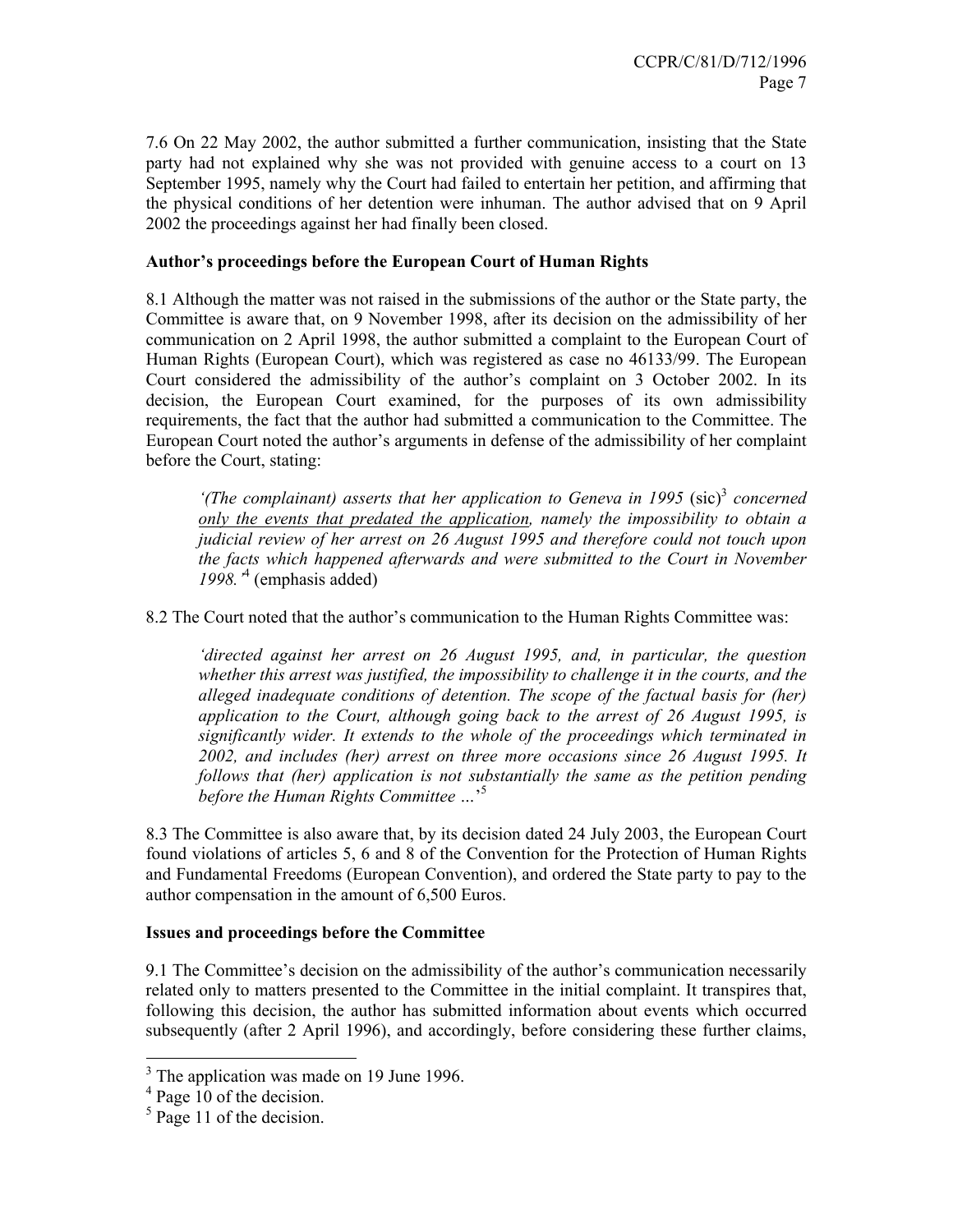7.6 On 22 May 2002, the author submitted a further communication, insisting that the State party had not explained why she was not provided with genuine access to a court on 13 September 1995, namely why the Court had failed to entertain her petition, and affirming that the physical conditions of her detention were inhuman. The author advised that on 9 April 2002 the proceedings against her had finally been closed.

# **Author's proceedings before the European Court of Human Rights**

8.1 Although the matter was not raised in the submissions of the author or the State party, the Committee is aware that, on 9 November 1998, after its decision on the admissibility of her communication on 2 April 1998, the author submitted a complaint to the European Court of Human Rights (European Court), which was registered as case no 46133/99. The European Court considered the admissibility of the author's complaint on 3 October 2002. In its decision, the European Court examined, for the purposes of its own admissibility requirements, the fact that the author had submitted a communication to the Committee. The European Court noted the author's arguments in defense of the admissibility of her complaint before the Court, stating:

'(The complainant) asserts that her application to Geneva in 1995 (sic)<sup>3</sup> concerned *only the events that predated the application, namely the impossibility to obtain a judicial review of her arrest on 26 August 1995 and therefore could not touch upon the facts which happened afterwards and were submitted to the Court in November 1998.'*<sup>4</sup> (emphasis added)

8.2 The Court noted that the author's communication to the Human Rights Committee was:

*'directed against her arrest on 26 August 1995, and, in particular, the question whether this arrest was justified, the impossibility to challenge it in the courts, and the alleged inadequate conditions of detention. The scope of the factual basis for (her) application to the Court, although going back to the arrest of 26 August 1995, is significantly wider. It extends to the whole of the proceedings which terminated in 2002, and includes (her) arrest on three more occasions since 26 August 1995. It follows that (her) application is not substantially the same as the petition pending before the Human Rights Committee …*' 5

8.3 The Committee is also aware that, by its decision dated 24 July 2003, the European Court found violations of articles 5, 6 and 8 of the Convention for the Protection of Human Rights and Fundamental Freedoms (European Convention), and ordered the State party to pay to the author compensation in the amount of 6,500 Euros.

# **Issues and proceedings before the Committee**

9.1 The Committee's decision on the admissibility of the author's communication necessarily related only to matters presented to the Committee in the initial complaint. It transpires that, following this decision, the author has submitted information about events which occurred subsequently (after 2 April 1996), and accordingly, before considering these further claims,

-

<sup>&</sup>lt;sup>3</sup> The application was made on 19 June 1996.

<sup>&</sup>lt;sup>4</sup> Page 10 of the decision.

<sup>&</sup>lt;sup>5</sup> Page 11 of the decision.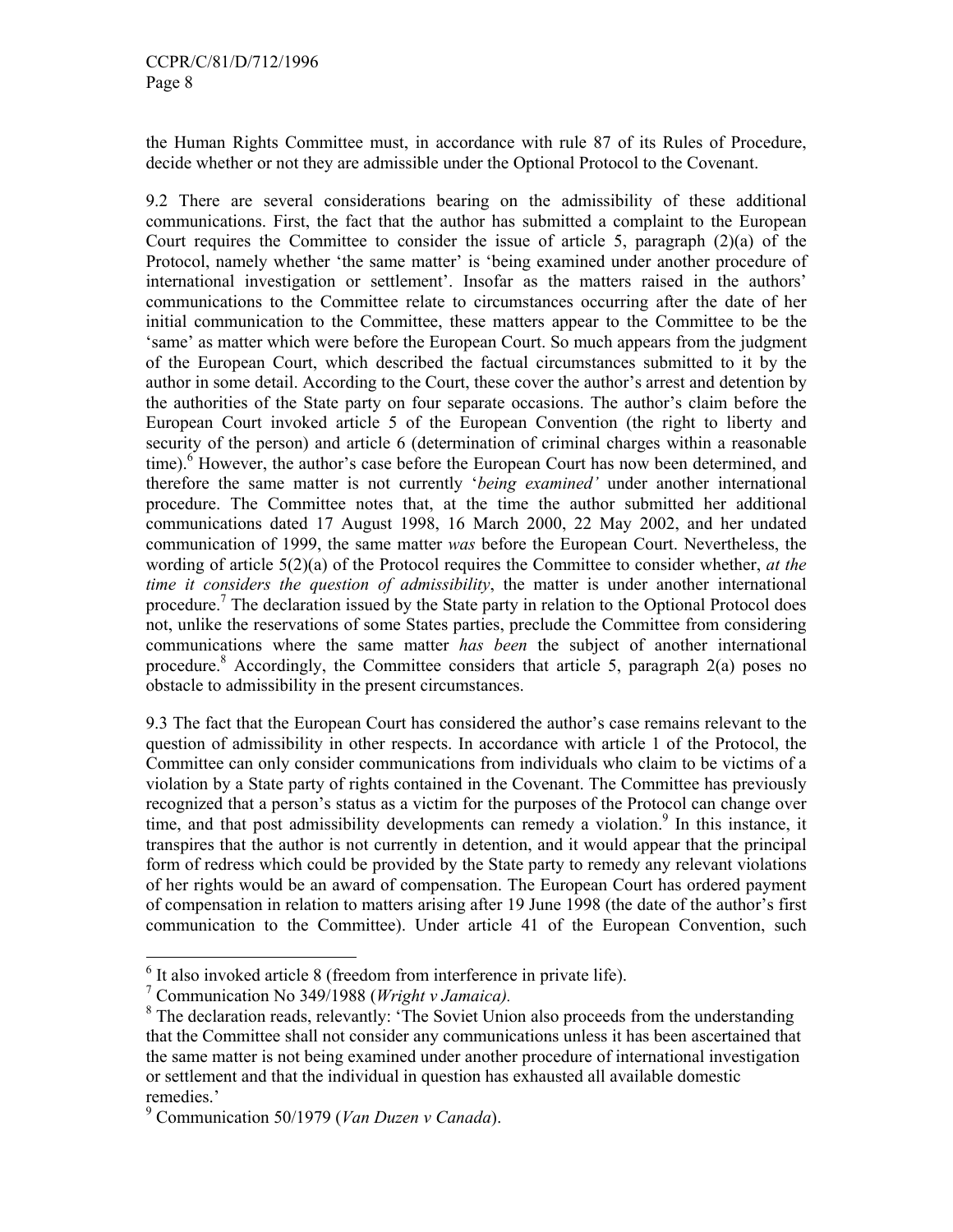the Human Rights Committee must, in accordance with rule 87 of its Rules of Procedure, decide whether or not they are admissible under the Optional Protocol to the Covenant.

9.2 There are several considerations bearing on the admissibility of these additional communications. First, the fact that the author has submitted a complaint to the European Court requires the Committee to consider the issue of article 5, paragraph  $(2)(a)$  of the Protocol, namely whether 'the same matter' is 'being examined under another procedure of international investigation or settlement'. Insofar as the matters raised in the authors' communications to the Committee relate to circumstances occurring after the date of her initial communication to the Committee, these matters appear to the Committee to be the 'same' as matter which were before the European Court. So much appears from the judgment of the European Court, which described the factual circumstances submitted to it by the author in some detail. According to the Court, these cover the author's arrest and detention by the authorities of the State party on four separate occasions. The author's claim before the European Court invoked article 5 of the European Convention (the right to liberty and security of the person) and article 6 (determination of criminal charges within a reasonable time).<sup>6</sup> However, the author's case before the European Court has now been determined, and therefore the same matter is not currently '*being examined'* under another international procedure. The Committee notes that, at the time the author submitted her additional communications dated 17 August 1998, 16 March 2000, 22 May 2002, and her undated communication of 1999, the same matter *was* before the European Court. Nevertheless, the wording of article 5(2)(a) of the Protocol requires the Committee to consider whether, *at the time it considers the question of admissibility*, the matter is under another international procedure.<sup>7</sup> The declaration issued by the State party in relation to the Optional Protocol does not, unlike the reservations of some States parties, preclude the Committee from considering communications where the same matter *has been* the subject of another international procedure.<sup>8</sup> Accordingly, the Committee considers that article 5, paragraph 2(a) poses no obstacle to admissibility in the present circumstances.

9.3 The fact that the European Court has considered the author's case remains relevant to the question of admissibility in other respects. In accordance with article 1 of the Protocol, the Committee can only consider communications from individuals who claim to be victims of a violation by a State party of rights contained in the Covenant. The Committee has previously recognized that a person's status as a victim for the purposes of the Protocol can change over time, and that post admissibility developments can remedy a violation.<sup>9</sup> In this instance, it transpires that the author is not currently in detention, and it would appear that the principal form of redress which could be provided by the State party to remedy any relevant violations of her rights would be an award of compensation. The European Court has ordered payment of compensation in relation to matters arising after 19 June 1998 (the date of the author's first communication to the Committee). Under article 41 of the European Convention, such

-

 $<sup>6</sup>$  It also invoked article 8 (freedom from interference in private life).</sup>

<sup>7</sup> Communication No 349/1988 (*Wright v Jamaica).*

<sup>&</sup>lt;sup>8</sup> The declaration reads, relevantly: 'The Soviet Union also proceeds from the understanding that the Committee shall not consider any communications unless it has been ascertained that the same matter is not being examined under another procedure of international investigation or settlement and that the individual in question has exhausted all available domestic remedies.'

<sup>9</sup> Communication 50/1979 (*Van Duzen v Canada*).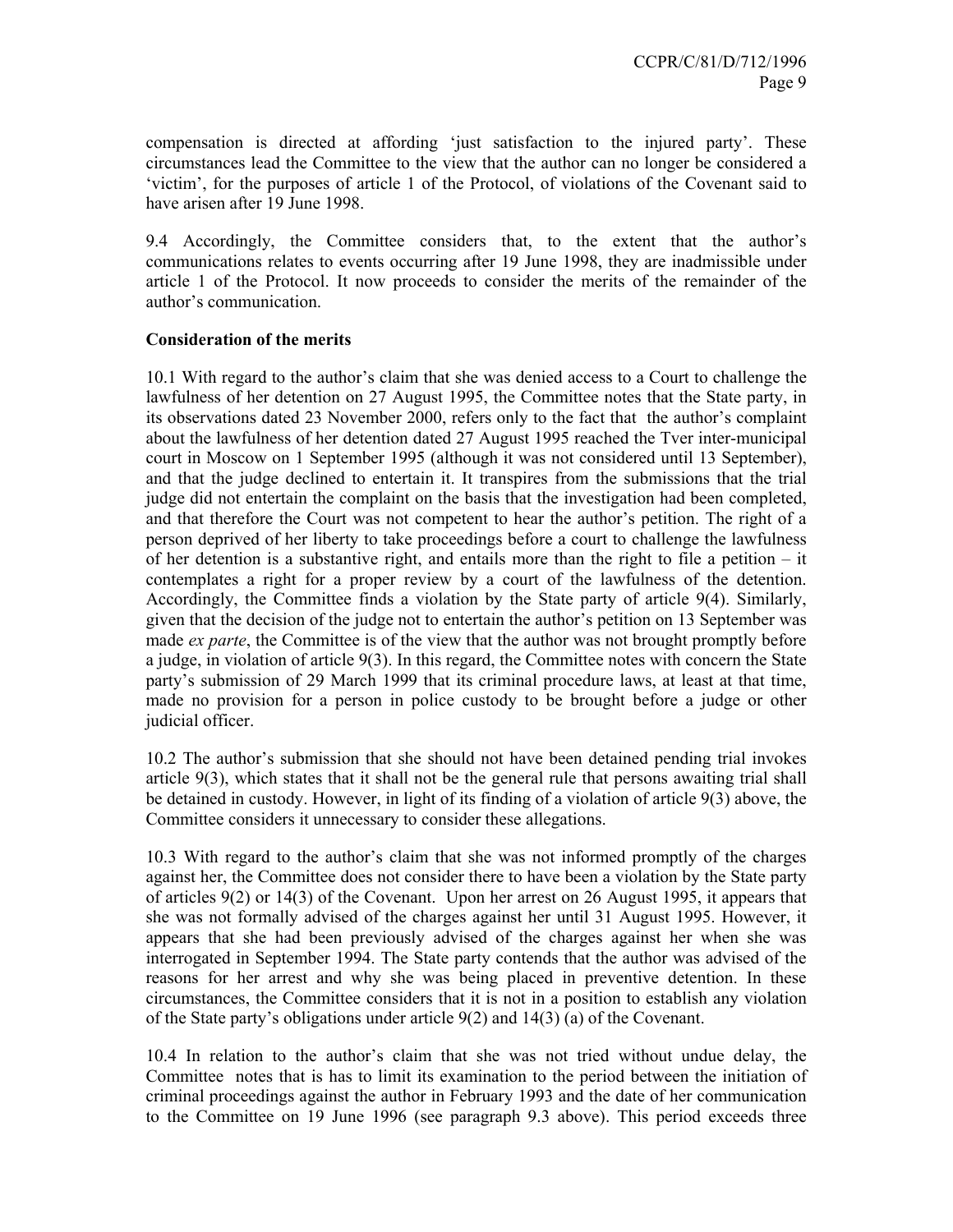compensation is directed at affording 'just satisfaction to the injured party'. These circumstances lead the Committee to the view that the author can no longer be considered a 'victim', for the purposes of article 1 of the Protocol, of violations of the Covenant said to have arisen after 19 June 1998.

9.4 Accordingly, the Committee considers that, to the extent that the author's communications relates to events occurring after 19 June 1998, they are inadmissible under article 1 of the Protocol. It now proceeds to consider the merits of the remainder of the author's communication.

# **Consideration of the merits**

10.1 With regard to the author's claim that she was denied access to a Court to challenge the lawfulness of her detention on 27 August 1995, the Committee notes that the State party, in its observations dated 23 November 2000, refers only to the fact that the author's complaint about the lawfulness of her detention dated 27 August 1995 reached the Tver inter-municipal court in Moscow on 1 September 1995 (although it was not considered until 13 September), and that the judge declined to entertain it. It transpires from the submissions that the trial judge did not entertain the complaint on the basis that the investigation had been completed, and that therefore the Court was not competent to hear the author's petition. The right of a person deprived of her liberty to take proceedings before a court to challenge the lawfulness of her detention is a substantive right, and entails more than the right to file a petition – it contemplates a right for a proper review by a court of the lawfulness of the detention. Accordingly, the Committee finds a violation by the State party of article 9(4). Similarly, given that the decision of the judge not to entertain the author's petition on 13 September was made *ex parte*, the Committee is of the view that the author was not brought promptly before a judge, in violation of article 9(3). In this regard, the Committee notes with concern the State party's submission of 29 March 1999 that its criminal procedure laws, at least at that time, made no provision for a person in police custody to be brought before a judge or other judicial officer.

10.2 The author's submission that she should not have been detained pending trial invokes article 9(3), which states that it shall not be the general rule that persons awaiting trial shall be detained in custody. However, in light of its finding of a violation of article 9(3) above, the Committee considers it unnecessary to consider these allegations.

10.3 With regard to the author's claim that she was not informed promptly of the charges against her, the Committee does not consider there to have been a violation by the State party of articles 9(2) or 14(3) of the Covenant. Upon her arrest on 26 August 1995, it appears that she was not formally advised of the charges against her until 31 August 1995. However, it appears that she had been previously advised of the charges against her when she was interrogated in September 1994. The State party contends that the author was advised of the reasons for her arrest and why she was being placed in preventive detention. In these circumstances, the Committee considers that it is not in a position to establish any violation of the State party's obligations under article 9(2) and 14(3) (a) of the Covenant.

10.4 In relation to the author's claim that she was not tried without undue delay, the Committee notes that is has to limit its examination to the period between the initiation of criminal proceedings against the author in February 1993 and the date of her communication to the Committee on 19 June 1996 (see paragraph 9.3 above). This period exceeds three